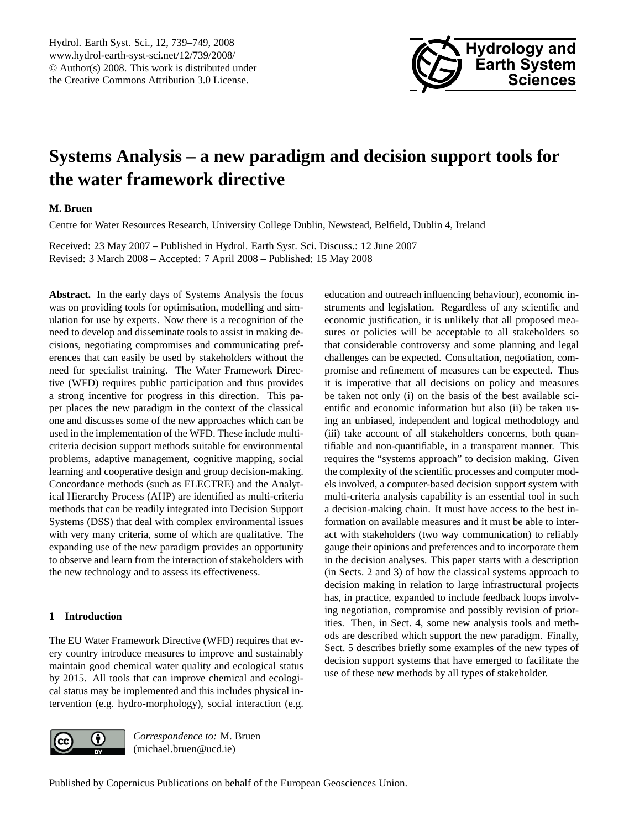

# <span id="page-0-0"></span>**Systems Analysis – a new paradigm and decision support tools for the water framework directive**

# **M. Bruen**

Centre for Water Resources Research, University College Dublin, Newstead, Belfield, Dublin 4, Ireland

Received: 23 May 2007 – Published in Hydrol. Earth Syst. Sci. Discuss.: 12 June 2007 Revised: 3 March 2008 – Accepted: 7 April 2008 – Published: 15 May 2008

**Abstract.** In the early days of Systems Analysis the focus was on providing tools for optimisation, modelling and simulation for use by experts. Now there is a recognition of the need to develop and disseminate tools to assist in making decisions, negotiating compromises and communicating preferences that can easily be used by stakeholders without the need for specialist training. The Water Framework Directive (WFD) requires public participation and thus provides a strong incentive for progress in this direction. This paper places the new paradigm in the context of the classical one and discusses some of the new approaches which can be used in the implementation of the WFD. These include multicriteria decision support methods suitable for environmental problems, adaptive management, cognitive mapping, social learning and cooperative design and group decision-making. Concordance methods (such as ELECTRE) and the Analytical Hierarchy Process (AHP) are identified as multi-criteria methods that can be readily integrated into Decision Support Systems (DSS) that deal with complex environmental issues with very many criteria, some of which are qualitative. The expanding use of the new paradigm provides an opportunity to observe and learn from the interaction of stakeholders with the new technology and to assess its effectiveness.

## **1 Introduction**

The EU Water Framework Directive (WFD) requires that every country introduce measures to improve and sustainably maintain good chemical water quality and ecological status by 2015. All tools that can improve chemical and ecological status may be implemented and this includes physical intervention (e.g. hydro-morphology), social interaction (e.g. education and outreach influencing behaviour), economic instruments and legislation. Regardless of any scientific and economic justification, it is unlikely that all proposed measures or policies will be acceptable to all stakeholders so that considerable controversy and some planning and legal challenges can be expected. Consultation, negotiation, compromise and refinement of measures can be expected. Thus it is imperative that all decisions on policy and measures be taken not only (i) on the basis of the best available scientific and economic information but also (ii) be taken using an unbiased, independent and logical methodology and (iii) take account of all stakeholders concerns, both quantifiable and non-quantifiable, in a transparent manner. This requires the "systems approach" to decision making. Given the complexity of the scientific processes and computer models involved, a computer-based decision support system with multi-criteria analysis capability is an essential tool in such a decision-making chain. It must have access to the best information on available measures and it must be able to interact with stakeholders (two way communication) to reliably gauge their opinions and preferences and to incorporate them in the decision analyses. This paper starts with a description (in Sects. 2 and 3) of how the classical systems approach to decision making in relation to large infrastructural projects has, in practice, expanded to include feedback loops involving negotiation, compromise and possibly revision of priorities. Then, in Sect. 4, some new analysis tools and methods are described which support the new paradigm. Finally, Sect. 5 describes briefly some examples of the new types of decision support systems that have emerged to facilitate the use of these new methods by all types of stakeholder.



*Correspondence to:* M. Bruen (michael.bruen@ucd.ie)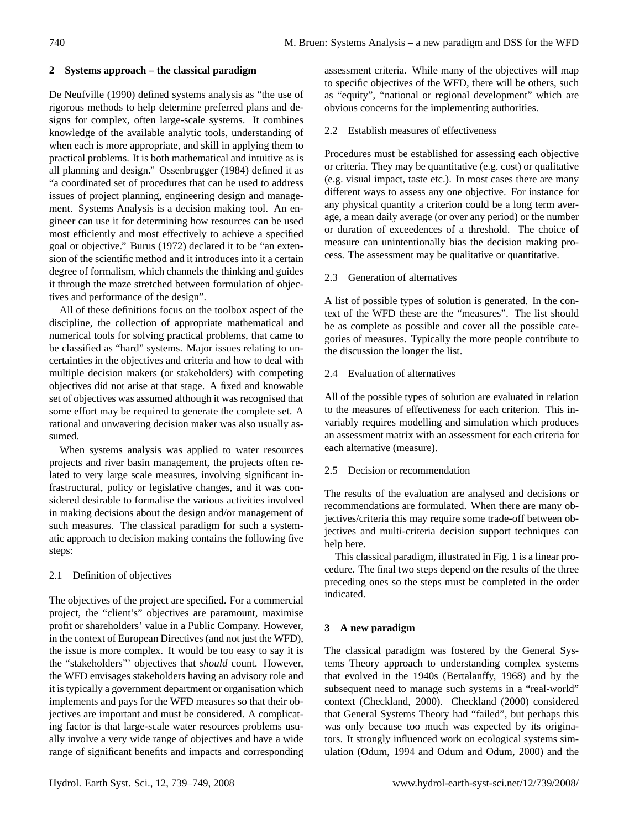## **2 Systems approach – the classical paradigm**

De Neufville (1990) defined systems analysis as "the use of rigorous methods to help determine preferred plans and designs for complex, often large-scale systems. It combines knowledge of the available analytic tools, understanding of when each is more appropriate, and skill in applying them to practical problems. It is both mathematical and intuitive as is all planning and design." Ossenbrugger (1984) defined it as "a coordinated set of procedures that can be used to address issues of project planning, engineering design and management. Systems Analysis is a decision making tool. An engineer can use it for determining how resources can be used most efficiently and most effectively to achieve a specified goal or objective." Burus (1972) declared it to be "an extension of the scientific method and it introduces into it a certain degree of formalism, which channels the thinking and guides it through the maze stretched between formulation of objectives and performance of the design".

All of these definitions focus on the toolbox aspect of the discipline, the collection of appropriate mathematical and numerical tools for solving practical problems, that came to be classified as "hard" systems. Major issues relating to uncertainties in the objectives and criteria and how to deal with multiple decision makers (or stakeholders) with competing objectives did not arise at that stage. A fixed and knowable set of objectives was assumed although it was recognised that some effort may be required to generate the complete set. A rational and unwavering decision maker was also usually assumed.

When systems analysis was applied to water resources projects and river basin management, the projects often related to very large scale measures, involving significant infrastructural, policy or legislative changes, and it was considered desirable to formalise the various activities involved in making decisions about the design and/or management of such measures. The classical paradigm for such a systematic approach to decision making contains the following five steps:

## 2.1 Definition of objectives

The objectives of the project are specified. For a commercial project, the "client's" objectives are paramount, maximise profit or shareholders' value in a Public Company. However, in the context of European Directives (and not just the WFD), the issue is more complex. It would be too easy to say it is the "stakeholders"' objectives that *should* count. However, the WFD envisages stakeholders having an advisory role and it is typically a government department or organisation which implements and pays for the WFD measures so that their objectives are important and must be considered. A complicating factor is that large-scale water resources problems usually involve a very wide range of objectives and have a wide range of significant benefits and impacts and corresponding assessment criteria. While many of the objectives will map to specific objectives of the WFD, there will be others, such as "equity", "national or regional development" which are obvious concerns for the implementing authorities.

## 2.2 Establish measures of effectiveness

Procedures must be established for assessing each objective or criteria. They may be quantitative (e.g. cost) or qualitative (e.g. visual impact, taste etc.). In most cases there are many different ways to assess any one objective. For instance for any physical quantity a criterion could be a long term average, a mean daily average (or over any period) or the number or duration of exceedences of a threshold. The choice of measure can unintentionally bias the decision making process. The assessment may be qualitative or quantitative.

#### 2.3 Generation of alternatives

A list of possible types of solution is generated. In the context of the WFD these are the "measures". The list should be as complete as possible and cover all the possible categories of measures. Typically the more people contribute to the discussion the longer the list.

# 2.4 Evaluation of alternatives

All of the possible types of solution are evaluated in relation to the measures of effectiveness for each criterion. This invariably requires modelling and simulation which produces an assessment matrix with an assessment for each criteria for each alternative (measure).

## 2.5 Decision or recommendation

The results of the evaluation are analysed and decisions or recommendations are formulated. When there are many objectives/criteria this may require some trade-off between objectives and multi-criteria decision support techniques can help here.

This classical paradigm, illustrated in Fig. 1 is a linear procedure. The final two steps depend on the results of the three preceding ones so the steps must be completed in the order indicated.

# **3 A new paradigm**

The classical paradigm was fostered by the General Systems Theory approach to understanding complex systems that evolved in the 1940s (Bertalanffy, 1968) and by the subsequent need to manage such systems in a "real-world" context (Checkland, 2000). Checkland (2000) considered that General Systems Theory had "failed", but perhaps this was only because too much was expected by its originators. It strongly influenced work on ecological systems simulation (Odum, 1994 and Odum and Odum, 2000) and the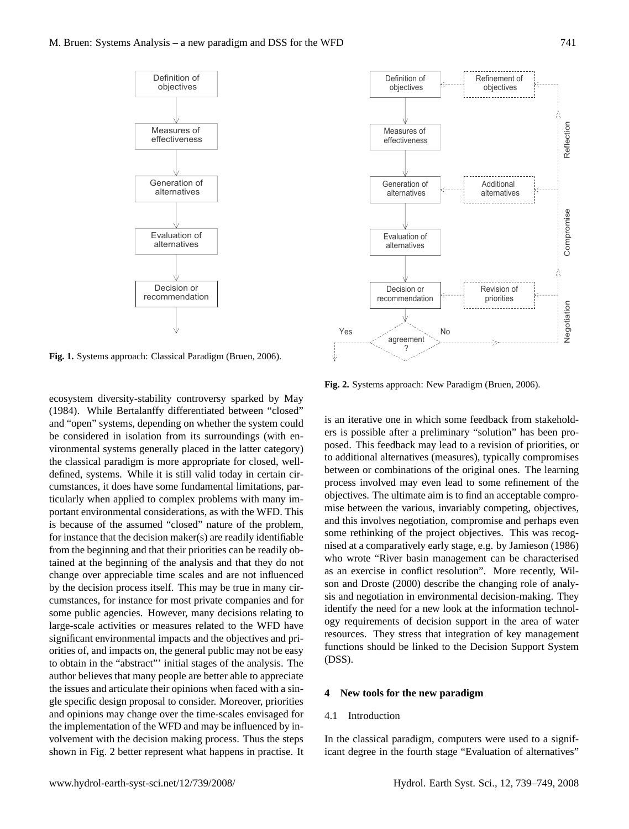

**Fig. 1.** Systems approach: Classical Paradigm (Bruen, 2006).

ecosystem diversity-stability controversy sparked by May (1984). While Bertalanffy differentiated between "closed" and "open" systems, depending on whether the system could be considered in isolation from its surroundings (with environmental systems generally placed in the latter category) the classical paradigm is more appropriate for closed, welldefined, systems. While it is still valid today in certain circumstances, it does have some fundamental limitations, particularly when applied to complex problems with many important environmental considerations, as with the WFD. This is because of the assumed "closed" nature of the problem, for instance that the decision maker(s) are readily identifiable from the beginning and that their priorities can be readily obtained at the beginning of the analysis and that they do not change over appreciable time scales and are not influenced by the decision process itself. This may be true in many circumstances, for instance for most private companies and for some public agencies. However, many decisions relating to large-scale activities or measures related to the WFD have significant environmental impacts and the objectives and priorities of, and impacts on, the general public may not be easy to obtain in the "abstract"' initial stages of the analysis. The author believes that many people are better able to appreciate the issues and articulate their opinions when faced with a single specific design proposal to consider. Moreover, priorities and opinions may change over the time-scales envisaged for the implementation of the WFD and may be influenced by involvement with the decision making process. Thus the steps shown in Fig. 2 better represent what happens in practise. It



**Fig. 2.** Systems approach: New Paradigm (Bruen, 2006).

is an iterative one in which some feedback from stakeholders is possible after a preliminary "solution" has been proposed. This feedback may lead to a revision of priorities, or to additional alternatives (measures), typically compromises between or combinations of the original ones. The learning process involved may even lead to some refinement of the objectives. The ultimate aim is to find an acceptable compromise between the various, invariably competing, objectives, and this involves negotiation, compromise and perhaps even some rethinking of the project objectives. This was recognised at a comparatively early stage, e.g. by Jamieson (1986) who wrote "River basin management can be characterised as an exercise in conflict resolution". More recently, Wilson and Droste (2000) describe the changing role of analysis and negotiation in environmental decision-making. They identify the need for a new look at the information technology requirements of decision support in the area of water resources. They stress that integration of key management functions should be linked to the Decision Support System (DSS).

#### **4 New tools for the new paradigm**

#### 4.1 Introduction

In the classical paradigm, computers were used to a significant degree in the fourth stage "Evaluation of alternatives"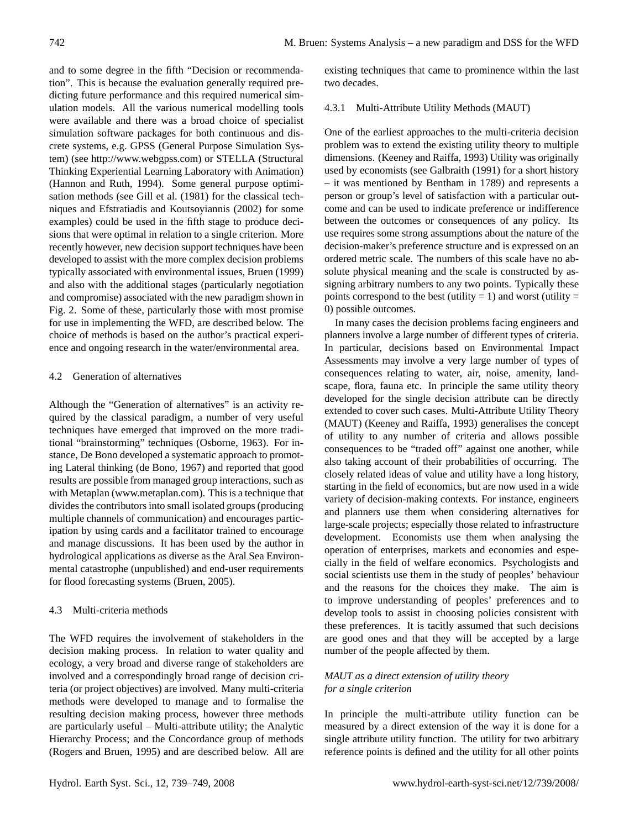and to some degree in the fifth "Decision or recommendation". This is because the evaluation generally required predicting future performance and this required numerical simulation models. All the various numerical modelling tools were available and there was a broad choice of specialist simulation software packages for both continuous and discrete systems, e.g. GPSS (General Purpose Simulation System) (see [http://www.webgpss.com\)](http://www.webgpss.com) or STELLA (Structural Thinking Experiential Learning Laboratory with Animation) (Hannon and Ruth, 1994). Some general purpose optimisation methods (see Gill et al. (1981) for the classical techniques and Efstratiadis and Koutsoyiannis (2002) for some examples) could be used in the fifth stage to produce decisions that were optimal in relation to a single criterion. More recently however, new decision support techniques have been developed to assist with the more complex decision problems typically associated with environmental issues, Bruen (1999) and also with the additional stages (particularly negotiation and compromise) associated with the new paradigm shown in Fig. 2. Some of these, particularly those with most promise for use in implementing the WFD, are described below. The choice of methods is based on the author's practical experience and ongoing research in the water/environmental area.

#### 4.2 Generation of alternatives

Although the "Generation of alternatives" is an activity required by the classical paradigm, a number of very useful techniques have emerged that improved on the more traditional "brainstorming" techniques (Osborne, 1963). For instance, De Bono developed a systematic approach to promoting Lateral thinking (de Bono, 1967) and reported that good results are possible from managed group interactions, such as with Metaplan [\(www.metaplan.com\)](www.metaplan.com). This is a technique that divides the contributors into small isolated groups (producing multiple channels of communication) and encourages participation by using cards and a facilitator trained to encourage and manage discussions. It has been used by the author in hydrological applications as diverse as the Aral Sea Environmental catastrophe (unpublished) and end-user requirements for flood forecasting systems (Bruen, 2005).

#### 4.3 Multi-criteria methods

The WFD requires the involvement of stakeholders in the decision making process. In relation to water quality and ecology, a very broad and diverse range of stakeholders are involved and a correspondingly broad range of decision criteria (or project objectives) are involved. Many multi-criteria methods were developed to manage and to formalise the resulting decision making process, however three methods are particularly useful – Multi-attribute utility; the Analytic Hierarchy Process; and the Concordance group of methods (Rogers and Bruen, 1995) and are described below. All are existing techniques that came to prominence within the last two decades.

#### 4.3.1 Multi-Attribute Utility Methods (MAUT)

One of the earliest approaches to the multi-criteria decision problem was to extend the existing utility theory to multiple dimensions. (Keeney and Raiffa, 1993) Utility was originally used by economists (see Galbraith (1991) for a short history – it was mentioned by Bentham in 1789) and represents a person or group's level of satisfaction with a particular outcome and can be used to indicate preference or indifference between the outcomes or consequences of any policy. Its use requires some strong assumptions about the nature of the decision-maker's preference structure and is expressed on an ordered metric scale. The numbers of this scale have no absolute physical meaning and the scale is constructed by assigning arbitrary numbers to any two points. Typically these points correspond to the best (utility  $= 1$ ) and worst (utility  $=$ 0) possible outcomes.

In many cases the decision problems facing engineers and planners involve a large number of different types of criteria. In particular, decisions based on Environmental Impact Assessments may involve a very large number of types of consequences relating to water, air, noise, amenity, landscape, flora, fauna etc. In principle the same utility theory developed for the single decision attribute can be directly extended to cover such cases. Multi-Attribute Utility Theory (MAUT) (Keeney and Raiffa, 1993) generalises the concept of utility to any number of criteria and allows possible consequences to be "traded off" against one another, while also taking account of their probabilities of occurring. The closely related ideas of value and utility have a long history, starting in the field of economics, but are now used in a wide variety of decision-making contexts. For instance, engineers and planners use them when considering alternatives for large-scale projects; especially those related to infrastructure development. Economists use them when analysing the operation of enterprises, markets and economies and especially in the field of welfare economics. Psychologists and social scientists use them in the study of peoples' behaviour and the reasons for the choices they make. The aim is to improve understanding of peoples' preferences and to develop tools to assist in choosing policies consistent with these preferences. It is tacitly assumed that such decisions are good ones and that they will be accepted by a large number of the people affected by them.

## *MAUT as a direct extension of utility theory for a single criterion*

In principle the multi-attribute utility function can be measured by a direct extension of the way it is done for a single attribute utility function. The utility for two arbitrary reference points is defined and the utility for all other points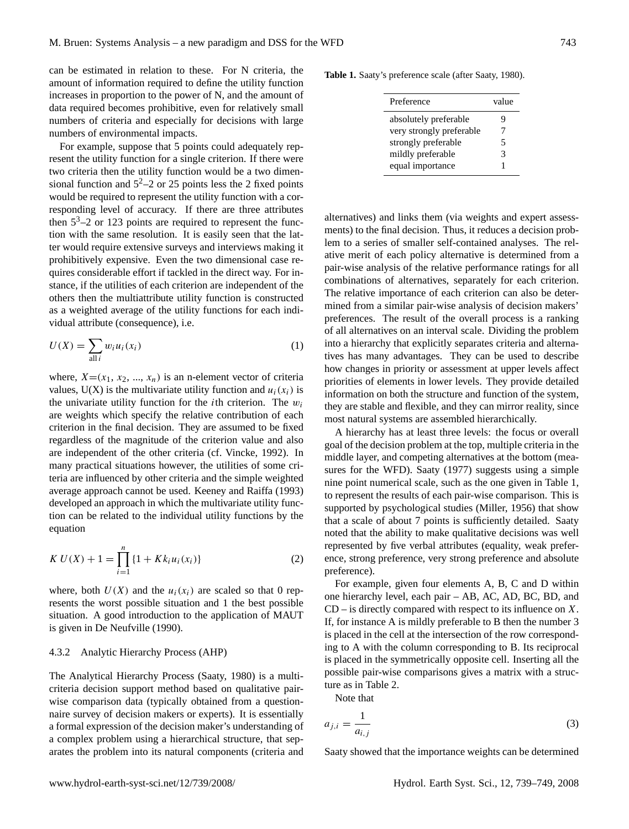can be estimated in relation to these. For N criteria, the amount of information required to define the utility function increases in proportion to the power of N, and the amount of data required becomes prohibitive, even for relatively small numbers of criteria and especially for decisions with large numbers of environmental impacts.

For example, suppose that 5 points could adequately represent the utility function for a single criterion. If there were two criteria then the utility function would be a two dimensional function and  $5^2$ –2 or 25 points less the 2 fixed points would be required to represent the utility function with a corresponding level of accuracy. If there are three attributes then  $5<sup>3</sup>-2$  or 123 points are required to represent the function with the same resolution. It is easily seen that the latter would require extensive surveys and interviews making it prohibitively expensive. Even the two dimensional case requires considerable effort if tackled in the direct way. For instance, if the utilities of each criterion are independent of the others then the multiattribute utility function is constructed as a weighted average of the utility functions for each individual attribute (consequence), i.e.

$$
U(X) = \sum_{\text{all } i} w_i u_i(x_i) \tag{1}
$$

where,  $X=(x_1, x_2, ..., x_n)$  is an n-element vector of criteria values, U(X) is the multivariate utility function and  $u_i(x_i)$  is the univariate utility function for the *i*th criterion. The  $w_i$ are weights which specify the relative contribution of each criterion in the final decision. They are assumed to be fixed regardless of the magnitude of the criterion value and also are independent of the other criteria (cf. Vincke, 1992). In many practical situations however, the utilities of some criteria are influenced by other criteria and the simple weighted average approach cannot be used. Keeney and Raiffa (1993) developed an approach in which the multivariate utility function can be related to the individual utility functions by the equation

$$
K U(X) + 1 = \prod_{i=1}^{n} \{1 + K k_i u_i(x_i)\}\tag{2}
$$

where, both  $U(X)$  and the  $u_i(x_i)$  are scaled so that 0 represents the worst possible situation and 1 the best possible situation. A good introduction to the application of MAUT is given in De Neufville (1990).

### 4.3.2 Analytic Hierarchy Process (AHP)

The Analytical Hierarchy Process (Saaty, 1980) is a multicriteria decision support method based on qualitative pairwise comparison data (typically obtained from a questionnaire survey of decision makers or experts). It is essentially a formal expression of the decision maker's understanding of a complex problem using a hierarchical structure, that separates the problem into its natural components (criteria and

**Table 1.** Saaty's preference scale (after Saaty, 1980).

| Preference               | value |
|--------------------------|-------|
| absolutely preferable    | 9     |
| very strongly preferable |       |
| strongly preferable      | 5     |
| mildly preferable        | 3     |
| equal importance         |       |

alternatives) and links them (via weights and expert assessments) to the final decision. Thus, it reduces a decision problem to a series of smaller self-contained analyses. The relative merit of each policy alternative is determined from a pair-wise analysis of the relative performance ratings for all combinations of alternatives, separately for each criterion. The relative importance of each criterion can also be determined from a similar pair-wise analysis of decision makers' preferences. The result of the overall process is a ranking of all alternatives on an interval scale. Dividing the problem into a hierarchy that explicitly separates criteria and alternatives has many advantages. They can be used to describe how changes in priority or assessment at upper levels affect priorities of elements in lower levels. They provide detailed information on both the structure and function of the system, they are stable and flexible, and they can mirror reality, since most natural systems are assembled hierarchically.

A hierarchy has at least three levels: the focus or overall goal of the decision problem at the top, multiple criteria in the middle layer, and competing alternatives at the bottom (measures for the WFD). Saaty (1977) suggests using a simple nine point numerical scale, such as the one given in Table 1, to represent the results of each pair-wise comparison. This is supported by psychological studies (Miller, 1956) that show that a scale of about 7 points is sufficiently detailed. Saaty noted that the ability to make qualitative decisions was well represented by five verbal attributes (equality, weak preference, strong preference, very strong preference and absolute preference).

For example, given four elements A, B, C and D within one hierarchy level, each pair – AB, AC, AD, BC, BD, and  $CD -$  is directly compared with respect to its influence on X. If, for instance A is mildly preferable to B then the number 3 is placed in the cell at the intersection of the row corresponding to A with the column corresponding to B. Its reciprocal is placed in the symmetrically opposite cell. Inserting all the possible pair-wise comparisons gives a matrix with a structure as in Table 2.

Note that  $\overline{1}$ 

$$
a_{j,i} = \frac{1}{a_{i,j}}\tag{3}
$$

Saaty showed that the importance weights can be determined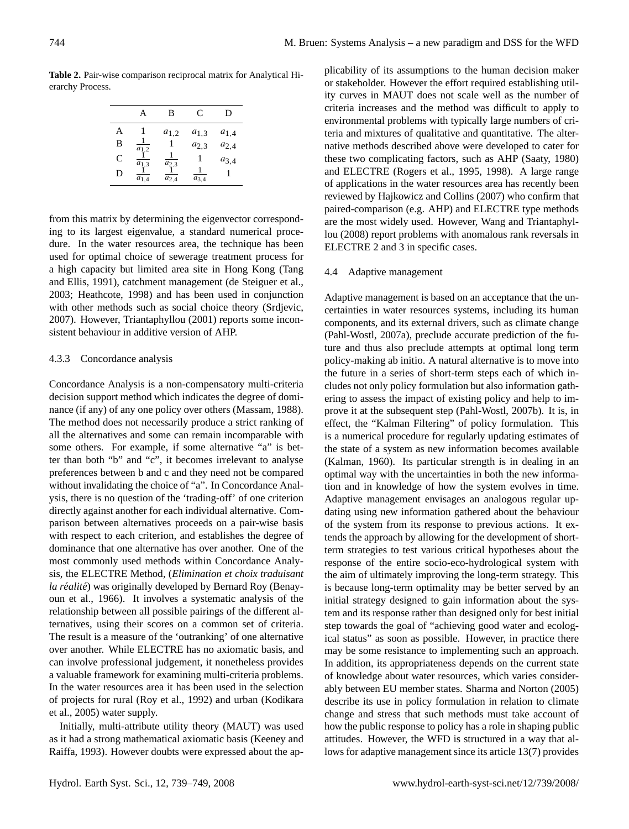**Table 2.** Pair-wise comparison reciprocal matrix for Analytical Hierarchy Process.

|                  | A                                              | В                                   | C                                   | D                                   |
|------------------|------------------------------------------------|-------------------------------------|-------------------------------------|-------------------------------------|
| Α<br>B<br>C<br>D | $a_{1,2}$<br>$\overline{a_{1,3}}$<br>$a_{1,4}$ | $a_{1,2}$<br>$a_{2,3}$<br>$a_{2,4}$ | $a_{1,3}$<br>$a_{2,3}$<br>$a_{3,4}$ | $a_{1,4}$<br>$a_{2,4}$<br>$a_{3,4}$ |

from this matrix by determining the eigenvector corresponding to its largest eigenvalue, a standard numerical procedure. In the water resources area, the technique has been used for optimal choice of sewerage treatment process for a high capacity but limited area site in Hong Kong (Tang and Ellis, 1991), catchment management (de Steiguer et al., 2003; Heathcote, 1998) and has been used in conjunction with other methods such as social choice theory (Srdjevic, 2007). However, Triantaphyllou (2001) reports some inconsistent behaviour in additive version of AHP.

## 4.3.3 Concordance analysis

Concordance Analysis is a non-compensatory multi-criteria decision support method which indicates the degree of dominance (if any) of any one policy over others (Massam, 1988). The method does not necessarily produce a strict ranking of all the alternatives and some can remain incomparable with some others. For example, if some alternative "a" is better than both "b" and "c", it becomes irrelevant to analyse preferences between b and c and they need not be compared without invalidating the choice of "a". In Concordance Analysis, there is no question of the 'trading-off' of one criterion directly against another for each individual alternative. Comparison between alternatives proceeds on a pair-wise basis with respect to each criterion, and establishes the degree of dominance that one alternative has over another. One of the most commonly used methods within Concordance Analysis, the ELECTRE Method, (*Elimination et choix traduisant la réalité*) was originally developed by Bernard Roy (Benayoun et al., 1966). It involves a systematic analysis of the relationship between all possible pairings of the different alternatives, using their scores on a common set of criteria. The result is a measure of the 'outranking' of one alternative over another. While ELECTRE has no axiomatic basis, and can involve professional judgement, it nonetheless provides a valuable framework for examining multi-criteria problems. In the water resources area it has been used in the selection of projects for rural (Roy et al., 1992) and urban (Kodikara et al., 2005) water supply.

Initially, multi-attribute utility theory (MAUT) was used as it had a strong mathematical axiomatic basis (Keeney and Raiffa, 1993). However doubts were expressed about the applicability of its assumptions to the human decision maker or stakeholder. However the effort required establishing utility curves in MAUT does not scale well as the number of criteria increases and the method was difficult to apply to environmental problems with typically large numbers of criteria and mixtures of qualitative and quantitative. The alternative methods described above were developed to cater for these two complicating factors, such as AHP (Saaty, 1980) and ELECTRE (Rogers et al., 1995, 1998). A large range of applications in the water resources area has recently been reviewed by Hajkowicz and Collins (2007) who confirm that paired-comparison (e.g. AHP) and ELECTRE type methods are the most widely used. However, Wang and Triantaphyllou (2008) report problems with anomalous rank reversals in ELECTRE 2 and 3 in specific cases.

#### 4.4 Adaptive management

Adaptive management is based on an acceptance that the uncertainties in water resources systems, including its human components, and its external drivers, such as climate change (Pahl-Wostl, 2007a), preclude accurate prediction of the future and thus also preclude attempts at optimal long term policy-making ab initio. A natural alternative is to move into the future in a series of short-term steps each of which includes not only policy formulation but also information gathering to assess the impact of existing policy and help to improve it at the subsequent step (Pahl-Wostl, 2007b). It is, in effect, the "Kalman Filtering" of policy formulation. This is a numerical procedure for regularly updating estimates of the state of a system as new information becomes available (Kalman, 1960). Its particular strength is in dealing in an optimal way with the uncertainties in both the new information and in knowledge of how the system evolves in time. Adaptive management envisages an analogous regular updating using new information gathered about the behaviour of the system from its response to previous actions. It extends the approach by allowing for the development of shortterm strategies to test various critical hypotheses about the response of the entire socio-eco-hydrological system with the aim of ultimately improving the long-term strategy. This is because long-term optimality may be better served by an initial strategy designed to gain information about the system and its response rather than designed only for best initial step towards the goal of "achieving good water and ecological status" as soon as possible. However, in practice there may be some resistance to implementing such an approach. In addition, its appropriateness depends on the current state of knowledge about water resources, which varies considerably between EU member states. Sharma and Norton (2005) describe its use in policy formulation in relation to climate change and stress that such methods must take account of how the public response to policy has a role in shaping public attitudes. However, the WFD is structured in a way that allows for adaptive management since its article 13(7) provides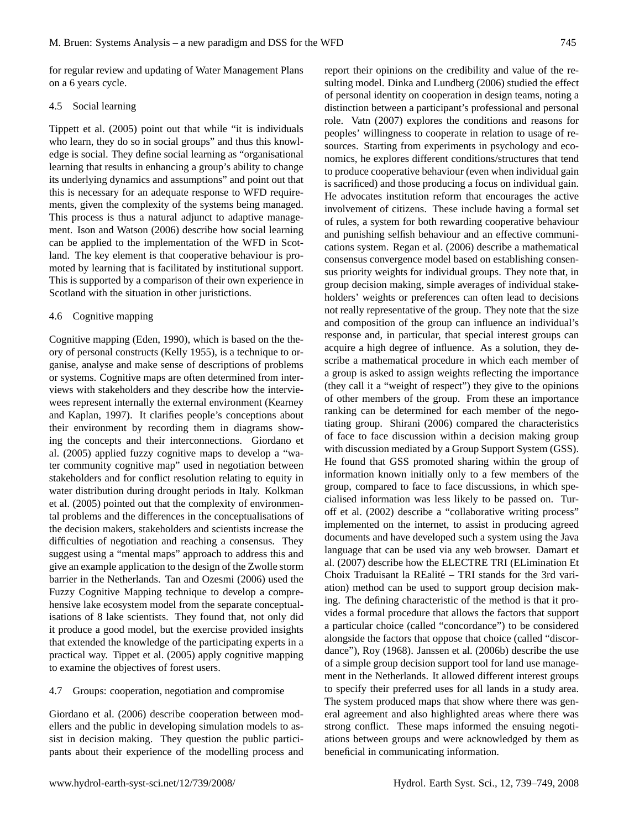for regular review and updating of Water Management Plans on a 6 years cycle.

# 4.5 Social learning

Tippett et al. (2005) point out that while "it is individuals who learn, they do so in social groups" and thus this knowledge is social. They define social learning as "organisational learning that results in enhancing a group's ability to change its underlying dynamics and assumptions" and point out that this is necessary for an adequate response to WFD requirements, given the complexity of the systems being managed. This process is thus a natural adjunct to adaptive management. Ison and Watson (2006) describe how social learning can be applied to the implementation of the WFD in Scotland. The key element is that cooperative behaviour is promoted by learning that is facilitated by institutional support. This is supported by a comparison of their own experience in Scotland with the situation in other juristictions.

## 4.6 Cognitive mapping

Cognitive mapping (Eden, 1990), which is based on the theory of personal constructs (Kelly 1955), is a technique to organise, analyse and make sense of descriptions of problems or systems. Cognitive maps are often determined from interviews with stakeholders and they describe how the interviewees represent internally the external environment (Kearney and Kaplan, 1997). It clarifies people's conceptions about their environment by recording them in diagrams showing the concepts and their interconnections. Giordano et al. (2005) applied fuzzy cognitive maps to develop a "water community cognitive map" used in negotiation between stakeholders and for conflict resolution relating to equity in water distribution during drought periods in Italy. Kolkman et al. (2005) pointed out that the complexity of environmental problems and the differences in the conceptualisations of the decision makers, stakeholders and scientists increase the difficulties of negotiation and reaching a consensus. They suggest using a "mental maps" approach to address this and give an example application to the design of the Zwolle storm barrier in the Netherlands. Tan and Ozesmi (2006) used the Fuzzy Cognitive Mapping technique to develop a comprehensive lake ecosystem model from the separate conceptualisations of 8 lake scientists. They found that, not only did it produce a good model, but the exercise provided insights that extended the knowledge of the participating experts in a practical way. Tippet et al. (2005) apply cognitive mapping to examine the objectives of forest users.

## 4.7 Groups: cooperation, negotiation and compromise

Giordano et al. (2006) describe cooperation between modellers and the public in developing simulation models to assist in decision making. They question the public participants about their experience of the modelling process and report their opinions on the credibility and value of the resulting model. Dinka and Lundberg (2006) studied the effect of personal identity on cooperation in design teams, noting a distinction between a participant's professional and personal role. Vatn (2007) explores the conditions and reasons for peoples' willingness to cooperate in relation to usage of resources. Starting from experiments in psychology and economics, he explores different conditions/structures that tend to produce cooperative behaviour (even when individual gain is sacrificed) and those producing a focus on individual gain. He advocates institution reform that encourages the active involvement of citizens. These include having a formal set of rules, a system for both rewarding cooperative behaviour and punishing selfish behaviour and an effective communications system. Regan et al. (2006) describe a mathematical consensus convergence model based on establishing consensus priority weights for individual groups. They note that, in group decision making, simple averages of individual stakeholders' weights or preferences can often lead to decisions not really representative of the group. They note that the size and composition of the group can influence an individual's response and, in particular, that special interest groups can acquire a high degree of influence. As a solution, they describe a mathematical procedure in which each member of a group is asked to assign weights reflecting the importance (they call it a "weight of respect") they give to the opinions of other members of the group. From these an importance ranking can be determined for each member of the negotiating group. Shirani (2006) compared the characteristics of face to face discussion within a decision making group with discussion mediated by a Group Support System (GSS). He found that GSS promoted sharing within the group of information known initially only to a few members of the group, compared to face to face discussions, in which specialised information was less likely to be passed on. Turoff et al. (2002) describe a "collaborative writing process" implemented on the internet, to assist in producing agreed documents and have developed such a system using the Java language that can be used via any web browser. Damart et al. (2007) describe how the ELECTRE TRI (ELimination Et Choix Traduisant la REalité – TRI stands for the 3rd variation) method can be used to support group decision making. The defining characteristic of the method is that it provides a formal procedure that allows the factors that support a particular choice (called "concordance") to be considered alongside the factors that oppose that choice (called "discordance"), Roy (1968). Janssen et al. (2006b) describe the use of a simple group decision support tool for land use management in the Netherlands. It allowed different interest groups to specify their preferred uses for all lands in a study area. The system produced maps that show where there was general agreement and also highlighted areas where there was strong conflict. These maps informed the ensuing negotiations between groups and were acknowledged by them as beneficial in communicating information.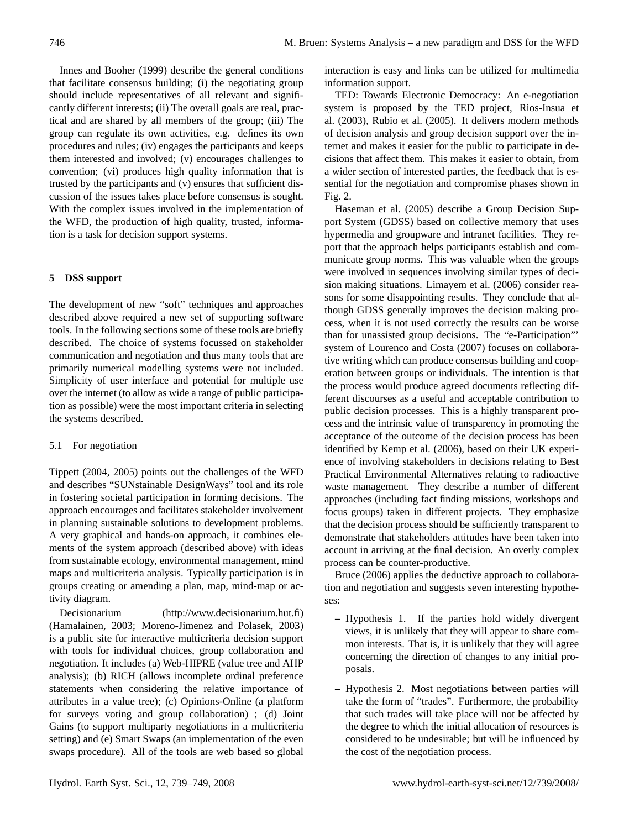Innes and Booher (1999) describe the general conditions that facilitate consensus building; (i) the negotiating group should include representatives of all relevant and significantly different interests; (ii) The overall goals are real, practical and are shared by all members of the group; (iii) The group can regulate its own activities, e.g. defines its own procedures and rules; (iv) engages the participants and keeps them interested and involved; (v) encourages challenges to convention; (vi) produces high quality information that is trusted by the participants and (v) ensures that sufficient discussion of the issues takes place before consensus is sought. With the complex issues involved in the implementation of the WFD, the production of high quality, trusted, information is a task for decision support systems.

## **5 DSS support**

The development of new "soft" techniques and approaches described above required a new set of supporting software tools. In the following sections some of these tools are briefly described. The choice of systems focussed on stakeholder communication and negotiation and thus many tools that are primarily numerical modelling systems were not included. Simplicity of user interface and potential for multiple use over the internet (to allow as wide a range of public participation as possible) were the most important criteria in selecting the systems described.

## 5.1 For negotiation

Tippett (2004, 2005) points out the challenges of the WFD and describes "SUNstainable DesignWays" tool and its role in fostering societal participation in forming decisions. The approach encourages and facilitates stakeholder involvement in planning sustainable solutions to development problems. A very graphical and hands-on approach, it combines elements of the system approach (described above) with ideas from sustainable ecology, environmental management, mind maps and multicriteria analysis. Typically participation is in groups creating or amending a plan, map, mind-map or activity diagram.

Decisionarium [\(http://www.decisionarium.hut.fi\)](http://www.decisionarium.hut.fi) (Hamalainen, 2003; Moreno-Jimenez and Polasek, 2003) is a public site for interactive multicriteria decision support with tools for individual choices, group collaboration and negotiation. It includes (a) Web-HIPRE (value tree and AHP analysis); (b) RICH (allows incomplete ordinal preference statements when considering the relative importance of attributes in a value tree); (c) Opinions-Online (a platform for surveys voting and group collaboration) ; (d) Joint Gains (to support multiparty negotiations in a multicriteria setting) and (e) Smart Swaps (an implementation of the even swaps procedure). All of the tools are web based so global interaction is easy and links can be utilized for multimedia information support.

TED: Towards Electronic Democracy: An e-negotiation system is proposed by the TED project, Rios-Insua et al. (2003), Rubio et al. (2005). It delivers modern methods of decision analysis and group decision support over the internet and makes it easier for the public to participate in decisions that affect them. This makes it easier to obtain, from a wider section of interested parties, the feedback that is essential for the negotiation and compromise phases shown in Fig. 2.

Haseman et al. (2005) describe a Group Decision Support System (GDSS) based on collective memory that uses hypermedia and groupware and intranet facilities. They report that the approach helps participants establish and communicate group norms. This was valuable when the groups were involved in sequences involving similar types of decision making situations. Limayem et al. (2006) consider reasons for some disappointing results. They conclude that although GDSS generally improves the decision making process, when it is not used correctly the results can be worse than for unassisted group decisions. The "e-Participation"' system of Lourenco and Costa (2007) focuses on collaborative writing which can produce consensus building and cooperation between groups or individuals. The intention is that the process would produce agreed documents reflecting different discourses as a useful and acceptable contribution to public decision processes. This is a highly transparent process and the intrinsic value of transparency in promoting the acceptance of the outcome of the decision process has been identified by Kemp et al. (2006), based on their UK experience of involving stakeholders in decisions relating to Best Practical Environmental Alternatives relating to radioactive waste management. They describe a number of different approaches (including fact finding missions, workshops and focus groups) taken in different projects. They emphasize that the decision process should be sufficiently transparent to demonstrate that stakeholders attitudes have been taken into account in arriving at the final decision. An overly complex process can be counter-productive.

Bruce (2006) applies the deductive approach to collaboration and negotiation and suggests seven interesting hypotheses:

- **–** Hypothesis 1. If the parties hold widely divergent views, it is unlikely that they will appear to share common interests. That is, it is unlikely that they will agree concerning the direction of changes to any initial proposals.
- **–** Hypothesis 2. Most negotiations between parties will take the form of "trades". Furthermore, the probability that such trades will take place will not be affected by the degree to which the initial allocation of resources is considered to be undesirable; but will be influenced by the cost of the negotiation process.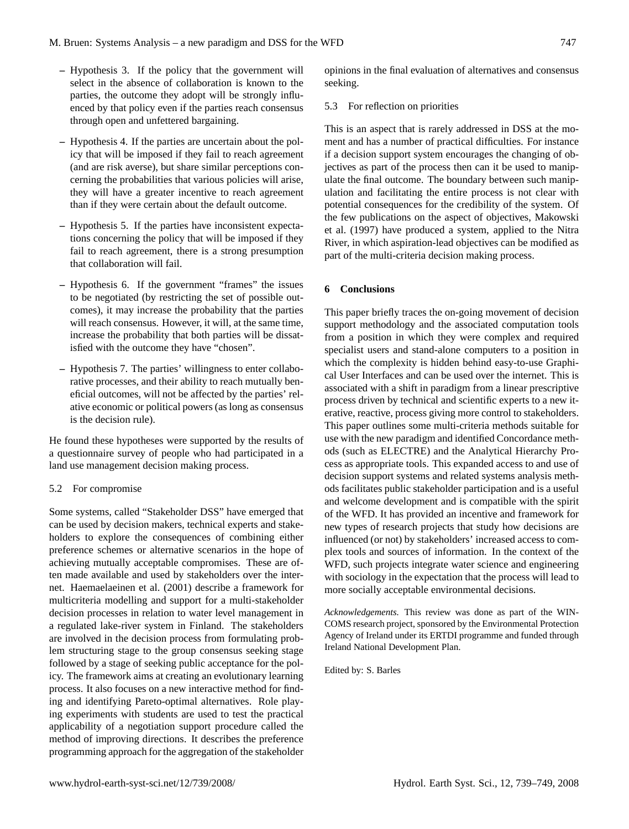- **–** Hypothesis 3. If the policy that the government will select in the absence of collaboration is known to the parties, the outcome they adopt will be strongly influenced by that policy even if the parties reach consensus through open and unfettered bargaining.
- **–** Hypothesis 4. If the parties are uncertain about the policy that will be imposed if they fail to reach agreement (and are risk averse), but share similar perceptions concerning the probabilities that various policies will arise, they will have a greater incentive to reach agreement than if they were certain about the default outcome.
- **–** Hypothesis 5. If the parties have inconsistent expectations concerning the policy that will be imposed if they fail to reach agreement, there is a strong presumption that collaboration will fail.
- **–** Hypothesis 6. If the government "frames" the issues to be negotiated (by restricting the set of possible outcomes), it may increase the probability that the parties will reach consensus. However, it will, at the same time, increase the probability that both parties will be dissatisfied with the outcome they have "chosen".
- **–** Hypothesis 7. The parties' willingness to enter collaborative processes, and their ability to reach mutually beneficial outcomes, will not be affected by the parties' relative economic or political powers (as long as consensus is the decision rule).

He found these hypotheses were supported by the results of a questionnaire survey of people who had participated in a land use management decision making process.

### 5.2 For compromise

Some systems, called "Stakeholder DSS" have emerged that can be used by decision makers, technical experts and stakeholders to explore the consequences of combining either preference schemes or alternative scenarios in the hope of achieving mutually acceptable compromises. These are often made available and used by stakeholders over the internet. Haemaelaeinen et al. (2001) describe a framework for multicriteria modelling and support for a multi-stakeholder decision processes in relation to water level management in a regulated lake-river system in Finland. The stakeholders are involved in the decision process from formulating problem structuring stage to the group consensus seeking stage followed by a stage of seeking public acceptance for the policy. The framework aims at creating an evolutionary learning process. It also focuses on a new interactive method for finding and identifying Pareto-optimal alternatives. Role playing experiments with students are used to test the practical applicability of a negotiation support procedure called the method of improving directions. It describes the preference programming approach for the aggregation of the stakeholder

opinions in the final evaluation of alternatives and consensus seeking.

# 5.3 For reflection on priorities

This is an aspect that is rarely addressed in DSS at the moment and has a number of practical difficulties. For instance if a decision support system encourages the changing of objectives as part of the process then can it be used to manipulate the final outcome. The boundary between such manipulation and facilitating the entire process is not clear with potential consequences for the credibility of the system. Of the few publications on the aspect of objectives, Makowski et al. (1997) have produced a system, applied to the Nitra River, in which aspiration-lead objectives can be modified as part of the multi-criteria decision making process.

## **6 Conclusions**

This paper briefly traces the on-going movement of decision support methodology and the associated computation tools from a position in which they were complex and required specialist users and stand-alone computers to a position in which the complexity is hidden behind easy-to-use Graphical User Interfaces and can be used over the internet. This is associated with a shift in paradigm from a linear prescriptive process driven by technical and scientific experts to a new iterative, reactive, process giving more control to stakeholders. This paper outlines some multi-criteria methods suitable for use with the new paradigm and identified Concordance methods (such as ELECTRE) and the Analytical Hierarchy Process as appropriate tools. This expanded access to and use of decision support systems and related systems analysis methods facilitates public stakeholder participation and is a useful and welcome development and is compatible with the spirit of the WFD. It has provided an incentive and framework for new types of research projects that study how decisions are influenced (or not) by stakeholders' increased access to complex tools and sources of information. In the context of the WFD, such projects integrate water science and engineering with sociology in the expectation that the process will lead to more socially acceptable environmental decisions.

*Acknowledgements.* This review was done as part of the WIN-COMS research project, sponsored by the Environmental Protection Agency of Ireland under its ERTDI programme and funded through Ireland National Development Plan.

Edited by: S. Barles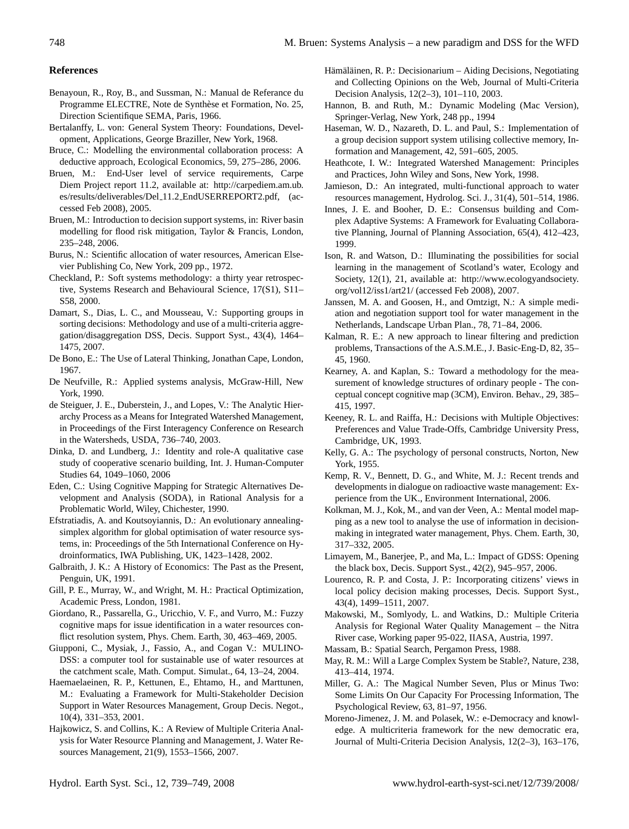## **References**

- Benayoun, R., Roy, B., and Sussman, N.: Manual de Referance du Programme ELECTRE, Note de Synthese et Formation, No. 25, ` Direction Scientifique SEMA, Paris, 1966.
- Bertalanffy, L. von: General System Theory: Foundations, Development, Applications, George Braziller, New York, 1968.
- Bruce, C.: Modelling the environmental collaboration process: A deductive approach, Ecological Economics, 59, 275–286, 2006.
- Bruen, M.: End-User level of service requirements, Carpe Diem Project report 11.2, available at: [http://carpediem.am.ub.](http://carpediem.am.ub.es/results/deliverables/Del_11.2_EndUSERREPORT2.pdf) [es/results/deliverables/Del](http://carpediem.am.ub.es/results/deliverables/Del_11.2_EndUSERREPORT2.pdf) 11.2 EndUSERREPORT2.pdf, (accessed Feb 2008), 2005.
- Bruen, M.: Introduction to decision support systems, in: River basin modelling for flood risk mitigation, Taylor & Francis, London, 235–248, 2006.
- Burus, N.: Scientific allocation of water resources, American Elsevier Publishing Co, New York, 209 pp., 1972.
- Checkland, P.: Soft systems methodology: a thirty year retrospective, Systems Research and Behavioural Science, 17(S1), S11– S58, 2000.
- Damart, S., Dias, L. C., and Mousseau, V.: Supporting groups in sorting decisions: Methodology and use of a multi-criteria aggregation/disaggregation DSS, Decis. Support Syst., 43(4), 1464– 1475, 2007.
- De Bono, E.: The Use of Lateral Thinking, Jonathan Cape, London, 1967.
- De Neufville, R.: Applied systems analysis, McGraw-Hill, New York, 1990.
- de Steiguer, J. E., Duberstein, J., and Lopes, V.: The Analytic Hierarchy Process as a Means for Integrated Watershed Management, in Proceedings of the First Interagency Conference on Research in the Watersheds, USDA, 736–740, 2003.
- Dinka, D. and Lundberg, J.: Identity and role-A qualitative case study of cooperative scenario building, Int. J. Human-Computer Studies 64, 1049–1060, 2006
- Eden, C.: Using Cognitive Mapping for Strategic Alternatives Development and Analysis (SODA), in Rational Analysis for a Problematic World, Wiley, Chichester, 1990.
- Efstratiadis, A. and Koutsoyiannis, D.: An evolutionary annealingsimplex algorithm for global optimisation of water resource systems, in: Proceedings of the 5th International Conference on Hydroinformatics, IWA Publishing, UK, 1423–1428, 2002.
- Galbraith, J. K.: A History of Economics: The Past as the Present, Penguin, UK, 1991.
- Gill, P. E., Murray, W., and Wright, M. H.: Practical Optimization, Academic Press, London, 1981.
- Giordano, R., Passarella, G., Uricchio, V. F., and Vurro, M.: Fuzzy cognitive maps for issue identification in a water resources conflict resolution system, Phys. Chem. Earth, 30, 463–469, 2005.
- Giupponi, C., Mysiak, J., Fassio, A., and Cogan V.: MULINO-DSS: a computer tool for sustainable use of water resources at the catchment scale, Math. Comput. Simulat., 64, 13–24, 2004.
- Haemaelaeinen, R. P., Kettunen, E., Ehtamo, H., and Marttunen, M.: Evaluating a Framework for Multi-Stakeholder Decision Support in Water Resources Management, Group Decis. Negot., 10(4), 331–353, 2001.
- Hajkowicz, S. and Collins, K.: A Review of Multiple Criteria Analysis for Water Resource Planning and Management, J. Water Resources Management, 21(9), 1553–1566, 2007.
- Hämäläinen, R. P.: Decisionarium Aiding Decisions, Negotiating and Collecting Opinions on the Web, Journal of Multi-Criteria Decision Analysis, 12(2–3), 101–110, 2003.
- Hannon, B. and Ruth, M.: Dynamic Modeling (Mac Version), Springer-Verlag, New York, 248 pp., 1994
- Haseman, W. D., Nazareth, D. L. and Paul, S.: Implementation of a group decision support system utilising collective memory, Information and Management, 42, 591–605, 2005.
- Heathcote, I. W.: Integrated Watershed Management: Principles and Practices, John Wiley and Sons, New York, 1998.
- Jamieson, D.: An integrated, multi-functional approach to water resources management, Hydrolog. Sci. J., 31(4), 501–514, 1986.
- Innes, J. E. and Booher, D. E.: Consensus building and Complex Adaptive Systems: A Framework for Evaluating Collaborative Planning, Journal of Planning Association, 65(4), 412–423, 1999.
- Ison, R. and Watson, D.: Illuminating the possibilities for social learning in the management of Scotland's water, Ecology and Society, 12(1), 21, available at: [http://www.ecologyandsociety.](http://www.ecologyandsociety.org/vol12/iss1/art21/) [org/vol12/iss1/art21/](http://www.ecologyandsociety.org/vol12/iss1/art21/) (accessed Feb 2008), 2007.
- Janssen, M. A. and Goosen, H., and Omtzigt, N.: A simple mediation and negotiation support tool for water management in the Netherlands, Landscape Urban Plan., 78, 71–84, 2006.
- Kalman, R. E.: A new approach to linear filtering and prediction problems, Transactions of the A.S.M.E., J. Basic-Eng-D, 82, 35– 45, 1960.
- Kearney, A. and Kaplan, S.: Toward a methodology for the measurement of knowledge structures of ordinary people - The conceptual concept cognitive map (3CM), Environ. Behav., 29, 385– 415, 1997.
- Keeney, R. L. and Raiffa, H.: Decisions with Multiple Objectives: Preferences and Value Trade-Offs, Cambridge University Press, Cambridge, UK, 1993.
- Kelly, G. A.: The psychology of personal constructs, Norton, New York, 1955.
- Kemp, R. V., Bennett, D. G., and White, M. J.: Recent trends and developments in dialogue on radioactive waste management: Experience from the UK., Environment International, 2006.
- Kolkman, M. J., Kok, M., and van der Veen, A.: Mental model mapping as a new tool to analyse the use of information in decisionmaking in integrated water management, Phys. Chem. Earth, 30, 317–332, 2005.
- Limayem, M., Banerjee, P., and Ma, L.: Impact of GDSS: Opening the black box, Decis. Support Syst., 42(2), 945–957, 2006.
- Lourenco, R. P. and Costa, J. P.: Incorporating citizens' views in local policy decision making processes, Decis. Support Syst., 43(4), 1499–1511, 2007.
- Makowski, M., Somlyody, L. and Watkins, D.: Multiple Criteria Analysis for Regional Water Quality Management – the Nitra River case, Working paper 95-022, IIASA, Austria, 1997.
- Massam, B.: Spatial Search, Pergamon Press, 1988.
- May, R. M.: Will a Large Complex System be Stable?, Nature, 238, 413–414, 1974.
- Miller, G. A.: The Magical Number Seven, Plus or Minus Two: Some Limits On Our Capacity For Processing Information, The Psychological Review, 63, 81–97, 1956.
- Moreno-Jimenez, J. M. and Polasek, W.: e-Democracy and knowledge. A multicriteria framework for the new democratic era, Journal of Multi-Criteria Decision Analysis, 12(2–3), 163–176,